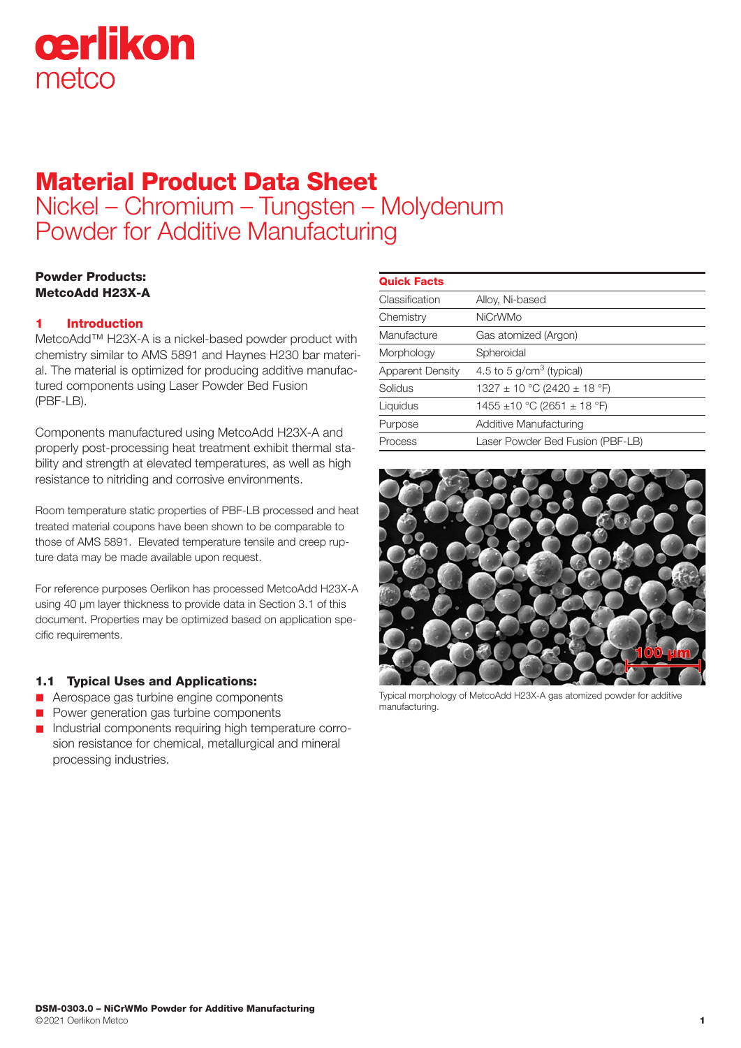

# Material Product Data Sheet Nickel – Chromium – Tungsten – Molydenum Powder for Additive Manufacturing

# Powder Products: MetcoAdd H23X-A

# 1 Introduction

MetcoAdd™ H23X-A is a nickel-based powder product with chemistry similar to AMS 5891 and Haynes H230 bar material. The material is optimized for producing additive manufactured components using Laser Powder Bed Fusion (PBF-LB).

Components manufactured using MetcoAdd H23X-A and properly post-processing heat treatment exhibit thermal stability and strength at elevated temperatures, as well as high resistance to nitriding and corrosive environments.

Room temperature static properties of PBF-LB processed and heat treated material coupons have been shown to be comparable to those of AMS 5891. Elevated temperature tensile and creep rupture data may be made available upon request.

For reference purposes Oerlikon has processed MetcoAdd H23X-A using 40 μm layer thickness to provide data in Section 3.1 of this document. Properties may be optimized based on application specific requirements.

# 1.1 Typical Uses and Applications:

- **n** Aerospace gas turbine engine components
- **n** Power generation gas turbine components
- Industrial components requiring high temperature corrosion resistance for chemical, metallurgical and mineral processing industries.

| <b>Quick Facts</b>      |                                     |  |
|-------------------------|-------------------------------------|--|
| Classification          | Alloy, Ni-based                     |  |
| Chemistry               | <b>NiCrWMo</b>                      |  |
| Manufacture             | Gas atomized (Argon)                |  |
| Morphology              | Spheroidal                          |  |
| <b>Apparent Density</b> | 4.5 to 5 $g/cm3$ (typical)          |  |
| Solidus                 | $1327 \pm 10$ °C (2420 $\pm$ 18 °F) |  |
| Liquidus                | 1455 ±10 °C (2651 ± 18 °F)          |  |
| Purpose                 | Additive Manufacturing              |  |
| Process                 | Laser Powder Bed Fusion (PBF-LB)    |  |
|                         |                                     |  |



Typical morphology of MetcoAdd H23X-A gas atomized powder for additive manufacturing.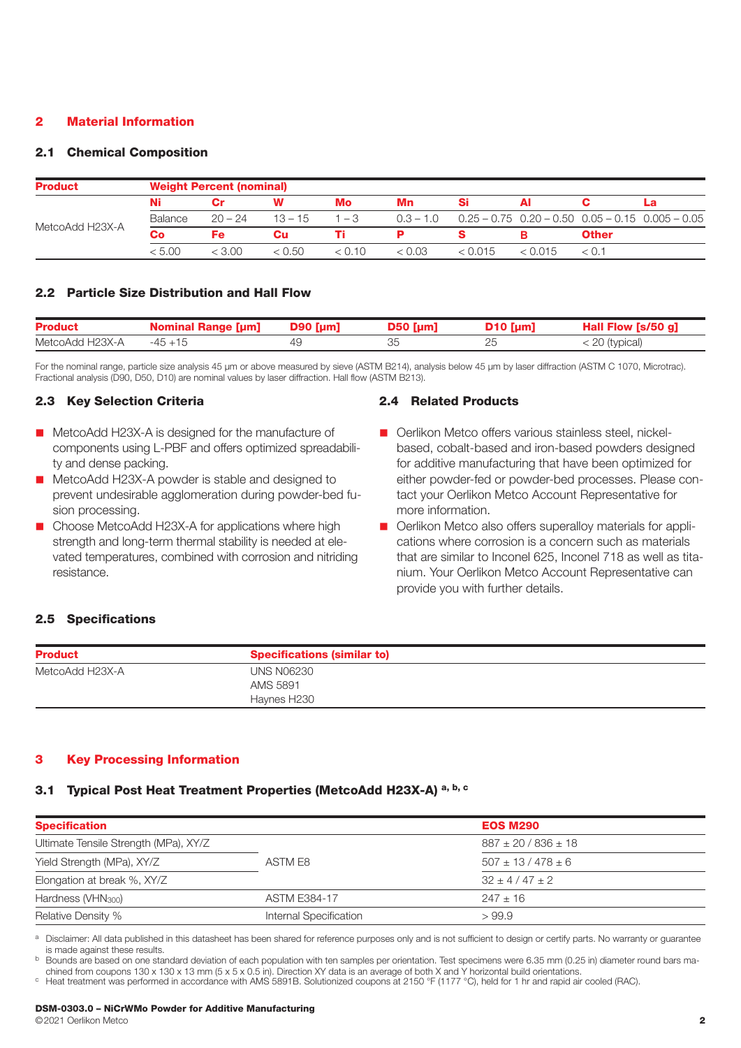## 2 Material Information

#### 2.1 Chemical Composition

| <b>Product</b>  |         | <b>Weight Percent (nominal)</b> |           |         |        |                                                                      |          |              |  |  |
|-----------------|---------|---------------------------------|-----------|---------|--------|----------------------------------------------------------------------|----------|--------------|--|--|
|                 | Ni      |                                 | w         | Mo      | Mn     |                                                                      |          |              |  |  |
|                 | Balance | $20 - 24$                       | $13 - 15$ | $1 - 3$ |        | $0.3 - 1.0$ $0.25 - 0.75$ $0.20 - 0.50$ $0.05 - 0.15$ $0.005 - 0.05$ |          |              |  |  |
| MetcoAdd H23X-A | Co      | Fe                              | Cu        |         |        |                                                                      |          | <b>Other</b> |  |  |
|                 | < 5.00  | < 3.00                          | < 0.50    | < 0.10  | < 0.03 | < 0.015                                                              | - 1015 / |              |  |  |

#### 2.2 Particle Size Distribution and Hall Flow

| <b>Product</b>  | Nominal Range [µm] D90 [µm] | $D50$ [µm] | $D10$ [µm] | Hall Flow [s/50 g] |
|-----------------|-----------------------------|------------|------------|--------------------|
| MetcoAdd H23X-A | $-45+15$                    | 35         |            | < 20 (typical)     |

For the nominal range, particle size analysis 45 μm or above measured by sieve (ASTM B214), analysis below 45 μm by laser diffraction (ASTM C 1070, Microtrac). Fractional analysis (D90, D50, D10) are nominal values by laser diffraction. Hall flow (ASTM B213).

## 2.3 Key Selection Criteria

- MetcoAdd H23X-A is designed for the manufacture of components using L-PBF and offers optimized spreadability and dense packing.
- MetcoAdd H23X-A powder is stable and designed to prevent undesirable agglomeration during powder-bed fusion processing.
- Choose MetcoAdd H23X-A for applications where high strength and long-term thermal stability is needed at elevated temperatures, combined with corrosion and nitriding resistance.

#### 2.4 Related Products

- Oerlikon Metco offers various stainless steel, nickelbased, cobalt-based and iron-based powders designed for additive manufacturing that have been optimized for either powder-fed or powder-bed processes. Please contact your Oerlikon Metco Account Representative for more information.
- Oerlikon Metco also offers superalloy materials for applications where corrosion is a concern such as materials that are similar to Inconel 625, Inconel 718 as well as titanium. Your Oerlikon Metco Account Representative can provide you with further details.

#### 2.5 Specifications

| <b>Product</b>  | <b>Specifications (similar to)</b> |  |
|-----------------|------------------------------------|--|
| MetcoAdd H23X-A | <b>UNS N06230</b>                  |  |
|                 | AMS 5891                           |  |
|                 | Haynes H230                        |  |

#### 3 Key Processing Information

# 3.1 Typical Post Heat Treatment Properties (MetcoAdd H23X-A)<sup>a, b, c</sup>

| <b>Specification</b>                  |                        | <b>EOS M290</b>           |  |  |
|---------------------------------------|------------------------|---------------------------|--|--|
| Ultimate Tensile Strength (MPa), XY/Z |                        | $887 \pm 20 / 836 \pm 18$ |  |  |
| Yield Strength (MPa), XY/Z            | ASTM E8                | $507 \pm 13 / 478 \pm 6$  |  |  |
| Elongation at break %, XY/Z           |                        | $32 + 4/47 + 2$           |  |  |
| Hardness (VHN <sub>300</sub> )        | <b>ASTM E384-17</b>    | $247 + 16$                |  |  |
| <b>Relative Density %</b>             | Internal Specification | >99.9                     |  |  |

a Disclaimer: All data published in this datasheet has been shared for reference purposes only and is not sufficient to design or certify parts. No warranty or guarantee is made against these results.

<sup>b</sup> Bounds are based on one standard deviation of each population with ten samples per orientation. Test specimens were 6.35 mm (0.25 in) diameter round bars machined from coupons 130 x 130 x 13 mm (5 x 5 x 0.5 in). Direction XY data is an average of both X and Y horizontal build orientations.<br>
C Heat treatment was performed in accordance with AMS 5891B. Solutionized coupons at 2